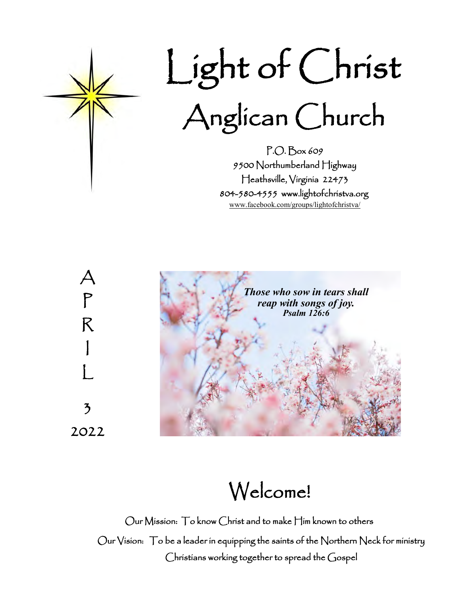

Light of Christ Anglican Church

P.O. Box 609 9500 Northumberland Highway Heathsville, Virginia 22473 804-580-4555 www.lightofchristva.org [www.facebook.com/groups/lightofchristva/](http://www.facebook.com/groups/lightofchristva/)

 $\bm{\mathcal{A}}$ P R I L 3 2022



Welcome!

Our Mission: To know Christ and to make Him known to others Our Vision: To be a leader in equipping the saints of the Northern Neck for ministry Christians working together to spread the Gospel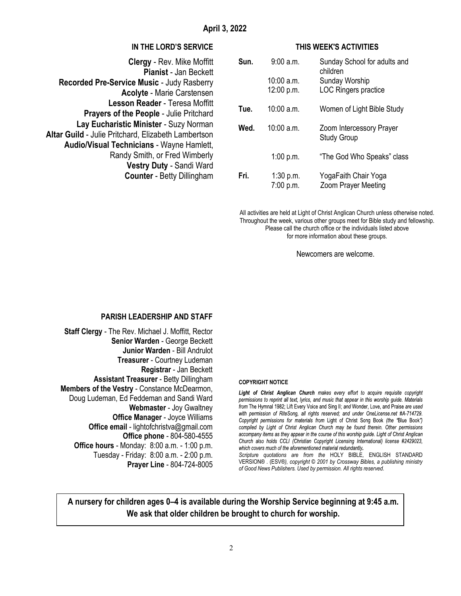#### **IN THE LORD'S SERVICE**

**Clergy** - Rev. Mike Moffitt **Pianist** - Jan Beckett **Recorded Pre-Service Music** - Judy Rasberry **Acolyte** - Marie Carstensen  **Lesson Reader** - Teresa Moffitt **Prayers of the People** - Julie Pritchard **Lay Eucharistic Minister** - Suzy Norman **Altar Guild** - Julie Pritchard, Elizabeth Lambertson **Audio/Visual Technicians** - Wayne Hamlett, Randy Smith, or Fred Wimberly **Vestry Duty** - Sandi Ward **Counter** - Betty Dillingham

#### **THIS WEEK'S ACTIVITIES**

| Sun. | 9:00 a.m.<br>$10:00$ a.m.<br>12:00 p.m. | Sunday School for adults and<br>children<br>Sunday Worship<br><b>LOC Ringers practice</b> |
|------|-----------------------------------------|-------------------------------------------------------------------------------------------|
| Tue. | $10:00$ a.m.                            | Women of Light Bible Study                                                                |
| Wed. | $10:00$ a.m.                            | Zoom Intercessory Prayer<br><b>Study Group</b>                                            |
|      | 1:00 p.m.                               | "The God Who Speaks" class                                                                |
| Fri. | 1:30 p.m.<br>7:00 p.m.                  | YogaFaith Chair Yoga<br><b>Zoom Prayer Meeting</b>                                        |

All activities are held at Light of Christ Anglican Church unless otherwise noted. Throughout the week, various other groups meet for Bible study and fellowship. Please call the church office or the individuals listed above for more information about these groups.

Newcomers are welcome.

#### **PARISH LEADERSHIP AND STAFF**

**Staff Clergy** - The Rev. Michael J. Moffitt, Rector **Senior Warden** - George Beckett **Junior Warden** - Bill Andrulot **Treasurer** - Courtney Ludeman **Registrar** - Jan Beckett **Assistant Treasurer** - Betty Dillingham **Members of the Vestry** - Constance McDearmon, Doug Ludeman, Ed Feddeman and Sandi Ward **Webmaster** - Joy Gwaltney **Office Manager** - Joyce Williams **Office email** - lightofchristva@gmail.com **Office phone** - 804-580-4555 **Office hours** - Monday: 8:00 a.m. - 1:00 p.m. Tuesday - Friday: 8:00 a.m. - 2:00 p.m. **Prayer Line** - 804-724-8005

#### **COPYRIGHT NOTICE**

Light of Christ Anglican Church makes every effort to acquire requisite copyright permissions to reprint all text. Ivrics, and music that appear in this worship quide. Materials from The Hymnal 1982; Lift Every Voice and Sing II; and Wonder, Love, and Praise are used with permission of RiteSong, all rights reserved; and under OneLicense.net #A-714729. Copyright permissions for materials from Light of Christ Song Book (the "Blue Book") compiled by Light of Christ Anglican Church may be found therein. Other permissions accompany items as they appear in the course of this worship guide. Light of Christ Anglican Church also holds CCLI (Christian Copyright Licensing International) license #2429023, which covers much of the aforementioned material redundantly.

*Scripture quotations are from the* HOLY BIBLE*,* ENGLISH STANDARD VERSION*®* . (ESV*®), copyright © 2001 by Crossway Bibles, a publishing ministry of Good News Publishers. Used by permission. All rights reserved.*

**A nursery for children ages 0–4 is available during the Worship Service beginning at 9:45 a.m. We ask that older children be brought to church for worship.**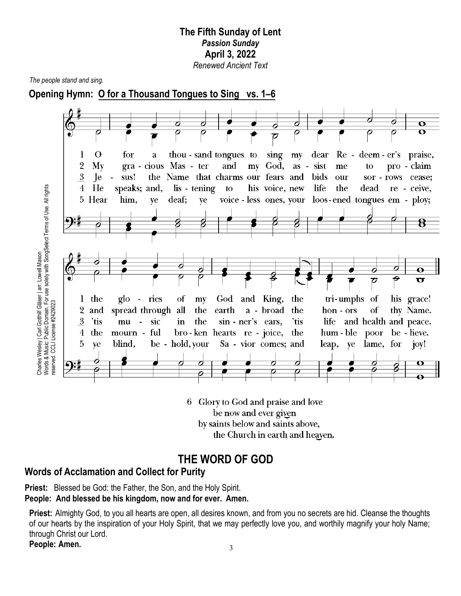## **The Fifth Sunday of Lent** *Passion Sunday* **April 3, 2022** *Renewed Ancient Text*

*The people stand and sing.*





be now and ever given by saints below and saints above, the Church in earth and heaven.

# **THE WORD OF GOD**

# **Words of Acclamation and Collect for Purity**

**Priest:** Blessed be God: the Father, the Son, and the Holy Spirit. **People: And blessed be his kingdom, now and for ever. Amen.** 

**Priest:** Almighty God, to you all hearts are open, all desires known, and from you no secrets are hid. Cleanse the thoughts of our hearts by the inspiration of your Holy Spirit, that we may perfectly love you, and worthily magnify your holy Name; through Christ our Lord.

**People: Amen.**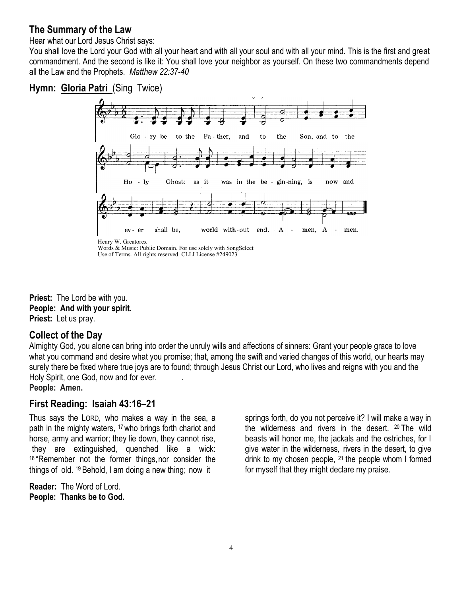# **The Summary of the Law**

Hear what our Lord Jesus Christ says:

You shall love the Lord your God with all your heart and with all your soul and with all your mind. This is the first and great commandment. And the second is like it: You shall love your neighbor as yourself. On these two commandments depend all the Law and the Prophets. *Matthew 22:37-40*

## **Hymn: Gloria Patri** (Sing Twice)



Words & Music: Public Domain. For use solely with SongSelect Use of Terms. All rights reserved. CLLI License #249023

**Priest:** The Lord be with you. **People: And with your spirit. Priest:** Let us pray.

## **Collect of the Day**

Almighty God, you alone can bring into order the unruly wills and affections of sinners: Grant your people grace to love what you command and desire what you promise; that, among the swift and varied changes of this world, our hearts may surely there be fixed where true joys are to found; through Jesus Christ our Lord, who lives and reigns with you and the Holy Spirit, one God, now and for ever. .

**People: Amen.** 

## **First Reading: Isaiah 43:16–21**

Thus says the LORD, who makes a way in the sea, a path in the mighty waters, <sup>17</sup> who brings forth chariot and horse, army and warrior; they lie down, they cannot rise, they are extinguished, quenched like a wick: <sup>18</sup> "Remember not the former things, nor consider the things of old. <sup>19</sup> Behold, I am doing a new thing; now it

**Reader:** The Word of Lord. **People: Thanks be to God.**

springs forth, do you not perceive it? I will make a way in the wilderness and rivers in the desert. <sup>20</sup> The wild beasts will honor me, the jackals and the ostriches, for I give water in the wilderness, rivers in the desert, to give drink to my chosen people, <sup>21</sup> the people whom I formed for myself that they might declare my praise.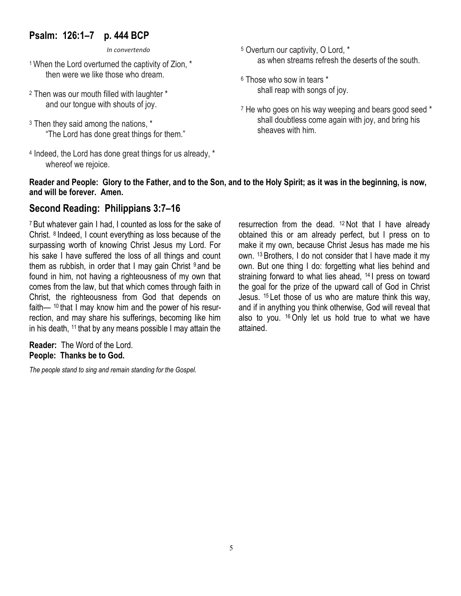# **Psalm: 126:1–7 p. 444 BCP**

*In convertendo* 

- <sup>1</sup>When the Lord overturned the captivity of Zion, \* then were we like those who dream.
- <sup>2</sup> Then was our mouth filled with laughter \* and our tongue with shouts of joy.
- <sup>3</sup> Then they said among the nations, \* "The Lord has done great things for them."
- 4 Indeed, the Lord has done great things for us already, \* whereof we rejoice.

<sup>5</sup> Overturn our captivity, O Lord, \* as when streams refresh the deserts of the south.

- <sup>6</sup> Those who sow in tears \* shall reap with songs of joy.
- <sup>7</sup> He who goes on his way weeping and bears good seed \* shall doubtless come again with joy, and bring his sheaves with him.

### **Reader and People: Glory to the Father, and to the Son, and to the Holy Spirit; as it was in the beginning, is now, and will be forever. Amen.**

# **Second Reading: Philippians 3:7–16**

<sup>7</sup> But whatever gain I had, I counted as loss for the sake of Christ. <sup>8</sup> Indeed, I count everything as loss because of the surpassing worth of knowing Christ Jesus my Lord. For his sake I have suffered the loss of all things and count them as rubbish, in order that I may gain Christ  $9$  and be found in him, not having a righteousness of my own that comes from the law, but that which comes through faith in Christ, the righteousness from God that depends on faith— <sup>10</sup> that I may know him and the power of his resurrection, and may share his sufferings, becoming like him in his death, <sup>11</sup> that by any means possible I may attain the

**Reader:** The Word of the Lord. **People: Thanks be to God.**

*The people stand to sing and remain standing for the Gospel.*

resurrection from the dead. <sup>12</sup> Not that I have already obtained this or am already perfect, but I press on to make it my own, because Christ Jesus has made me his own. <sup>13</sup> Brothers, I do not consider that I have made it my own. But one thing I do: forgetting what lies behind and straining forward to what lies ahead, <sup>14</sup> I press on toward the goal for the prize of the upward call of God in Christ Jesus. <sup>15</sup> Let those of us who are mature think this way, and if in anything you think otherwise, God will reveal that also to you. <sup>16</sup> Only let us hold true to what we have attained.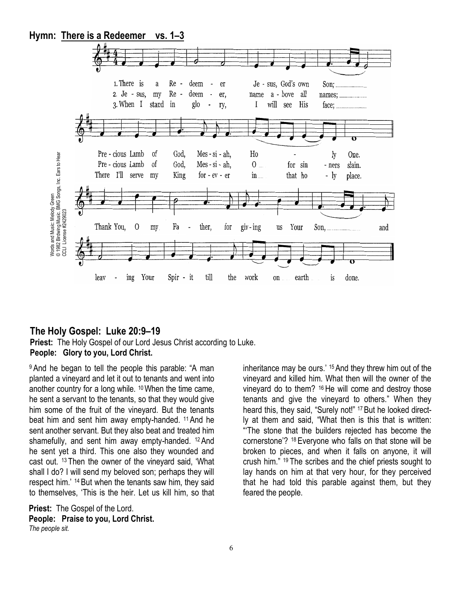

### **The Holy Gospel: Luke 20:9–19**

**Priest:** The Holy Gospel of our Lord Jesus Christ according to Luke. **People: Glory to you, Lord Christ.** 

<sup>9</sup>And he began to tell the people this parable: "A man planted a vineyard and let it out to tenants and went into another country for a long while. <sup>10</sup>When the time came, he sent a servant to the tenants, so that they would give him some of the fruit of the vineyard. But the tenants beat him and sent him away empty-handed. <sup>11</sup> And he sent another servant. But they also beat and treated him shamefully, and sent him away empty-handed. <sup>12</sup> And he sent yet a third. This one also they wounded and cast out. <sup>13</sup> Then the owner of the vineyard said, 'What shall I do? I will send my beloved son; perhaps they will respect him.' <sup>14</sup> But when the tenants saw him, they said to themselves, 'This is the heir. Let us kill him, so that

**Priest:** The Gospel of the Lord. **People: Praise to you, Lord Christ.** *The people sit.*

inheritance may be ours.' <sup>15</sup>And they threw him out of the vineyard and killed him. What then will the owner of the vineyard do to them? <sup>16</sup> He will come and destroy those tenants and give the vineyard to others." When they heard this, they said, "Surely not!" <sup>17</sup> But he looked directly at them and said, "What then is this that is written: "'The stone that the builders rejected has become the cornerstone'? <sup>18</sup> Everyone who falls on that stone will be broken to pieces, and when it falls on anyone, it will crush him." <sup>19</sup> The scribes and the chief priests sought to lay hands on him at that very hour, for they perceived that he had told this parable against them, but they feared the people.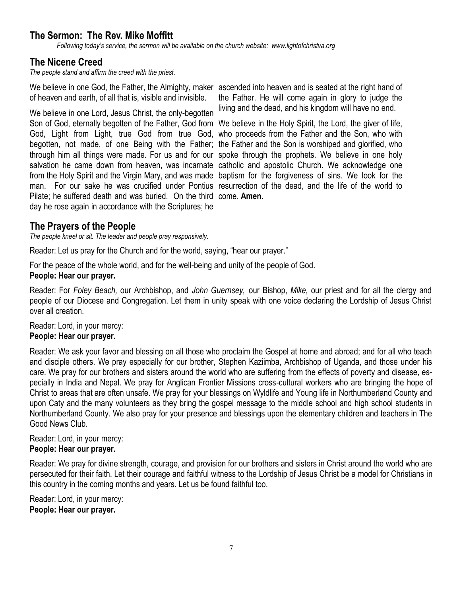## **The Sermon: The Rev. Mike Moffitt**

*Following today's service, the sermon will be available on the church website: www.lightofchristva.org*

## **The Nicene Creed**

*The people stand and affirm the creed with the priest.*

We believe in one God, the Father, the Almighty, maker ascended into heaven and is seated at the right hand of of heaven and earth, of all that is, visible and invisible.

We believe in one Lord, Jesus Christ, the only-begotten Son of God, eternally begotten of the Father, God from We believe in the Holy Spirit, the Lord, the giver of life, God, Light from Light, true God from true God, who proceeds from the Father and the Son, who with begotten, not made, of one Being with the Father; the Father and the Son is worshiped and glorified, who through him all things were made. For us and for our spoke through the prophets. We believe in one holy salvation he came down from heaven, was incarnate catholic and apostolic Church. We acknowledge one from the Holy Spirit and the Virgin Mary, and was made baptism for the forgiveness of sins. We look for the man. For our sake he was crucified under Pontius resurrection of the dead, and the life of the world to Pilate; he suffered death and was buried. On the third come. **Amen.** day he rose again in accordance with the Scriptures; he

the Father. He will come again in glory to judge the living and the dead, and his kingdom will have no end.

## **The Prayers of the People**

*The people kneel or sit. The leader and people pray responsively.*

Reader: Let us pray for the Church and for the world, saying, "hear our prayer."

For the peace of the whole world, and for the well-being and unity of the people of God.

### **People: Hear our prayer.**

Reader: For *Foley Beach,* our Archbishop, and *John Guernsey,* our Bishop, *Mike,* our priest and for all the clergy and people of our Diocese and Congregation. Let them in unity speak with one voice declaring the Lordship of Jesus Christ over all creation.

Reader: Lord, in your mercy: **People: Hear our prayer.**

Reader: We ask your favor and blessing on all those who proclaim the Gospel at home and abroad; and for all who teach and disciple others. We pray especially for our brother, Stephen Kaziimba, Archbishop of Uganda, and those under his care. We pray for our brothers and sisters around the world who are suffering from the effects of poverty and disease, especially in India and Nepal. We pray for Anglican Frontier Missions cross-cultural workers who are bringing the hope of Christ to areas that are often unsafe. We pray for your blessings on Wyldlife and Young life in Northumberland County and upon Caty and the many volunteers as they bring the gospel message to the middle school and high school students in Northumberland County. We also pray for your presence and blessings upon the elementary children and teachers in The Good News Club.

#### Reader: Lord, in your mercy: **People: Hear our prayer.**

Reader: We pray for divine strength, courage, and provision for our brothers and sisters in Christ around the world who are persecuted for their faith. Let their courage and faithful witness to the Lordship of Jesus Christ be a model for Christians in this country in the coming months and years. Let us be found faithful too.

Reader: Lord, in your mercy: **People: Hear our prayer.**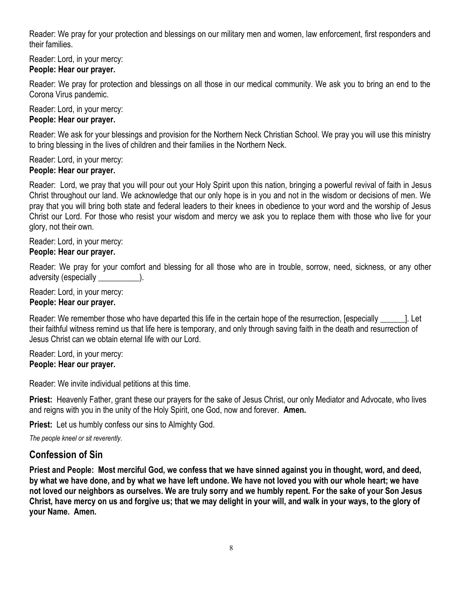Reader: We pray for your protection and blessings on our military men and women, law enforcement, first responders and their families.

Reader: Lord, in your mercy:

## **People: Hear our prayer.**

Reader: We pray for protection and blessings on all those in our medical community. We ask you to bring an end to the Corona Virus pandemic.

Reader: Lord, in your mercy: **People: Hear our prayer.**

Reader: We ask for your blessings and provision for the Northern Neck Christian School. We pray you will use this ministry to bring blessing in the lives of children and their families in the Northern Neck.

#### Reader: Lord, in your mercy: **People: Hear our prayer.**

Reader: Lord, we pray that you will pour out your Holy Spirit upon this nation, bringing a powerful revival of faith in Jesus Christ throughout our land. We acknowledge that our only hope is in you and not in the wisdom or decisions of men. We pray that you will bring both state and federal leaders to their knees in obedience to your word and the worship of Jesus Christ our Lord. For those who resist your wisdom and mercy we ask you to replace them with those who live for your glory, not their own.

Reader: Lord, in your mercy: **People: Hear our prayer.**

Reader: We pray for your comfort and blessing for all those who are in trouble, sorrow, need, sickness, or any other adversity (especially \_\_\_\_\_\_\_\_\_\_).

Reader: Lord, in your mercy: **People: Hear our prayer.**

Reader: We remember those who have departed this life in the certain hope of the resurrection, [especially \_\_\_\_\_\_\_]. Let their faithful witness remind us that life here is temporary, and only through saving faith in the death and resurrection of Jesus Christ can we obtain eternal life with our Lord.

Reader: Lord, in your mercy: **People: Hear our prayer.**

Reader: We invite individual petitions at this time.

**Priest:** Heavenly Father, grant these our prayers for the sake of Jesus Christ, our only Mediator and Advocate, who lives and reigns with you in the unity of the Holy Spirit, one God, now and forever. **Amen.**

**Priest:** Let us humbly confess our sins to Almighty God.

*The people kneel or sit reverently.*

## **Confession of Sin**

**Priest and People: Most merciful God, we confess that we have sinned against you in thought, word, and deed, by what we have done, and by what we have left undone. We have not loved you with our whole heart; we have not loved our neighbors as ourselves. We are truly sorry and we humbly repent. For the sake of your Son Jesus Christ, have mercy on us and forgive us; that we may delight in your will, and walk in your ways, to the glory of your Name. Amen.**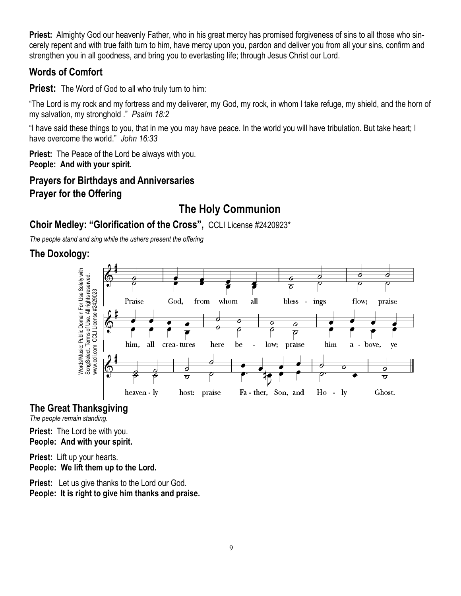**Priest:** Almighty God our heavenly Father, who in his great mercy has promised forgiveness of sins to all those who sincerely repent and with true faith turn to him, have mercy upon you, pardon and deliver you from all your sins, confirm and strengthen you in all goodness, and bring you to everlasting life; through Jesus Christ our Lord.

# **Words of Comfort**

**Priest:** The Word of God to all who truly turn to him:

"The Lord is my rock and my fortress and my deliverer, my God, my rock, in whom I take refuge, my shield, and the horn of my salvation, my stronghold ." *Psalm 18:2*

"I have said these things to you, that in me you may have peace. In the world you will have tribulation. But take heart; I have overcome the world." *John 16:33*

**Priest:** The Peace of the Lord be always with you. **People: And with your spirit.**

# **Prayers for Birthdays and Anniversaries Prayer for the Offering**

# **The Holy Communion**

# **Choir Medley: "Glorification of the Cross",** CCLI License #2420923\*

*The people stand and sing while the ushers present the offering*

# **The Doxology:**



## **The Great Thanksgiving**

*The people remain standing.*

**Priest:** The Lord be with you. **People: And with your spirit.**

**Priest:** Lift up your hearts. **People: We lift them up to the Lord.**

**Priest:** Let us give thanks to the Lord our God. **People: It is right to give him thanks and praise.**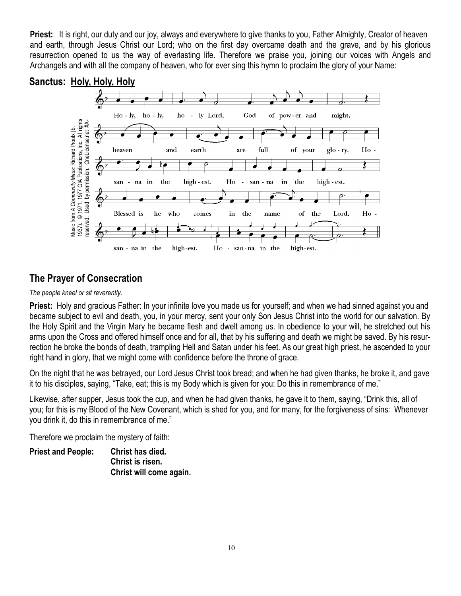**Priest:** It is right, our duty and our joy, always and everywhere to give thanks to you, Father Almighty, Creator of heaven and earth, through Jesus Christ our Lord; who on the first day overcame death and the grave, and by his glorious resurrection opened to us the way of everlasting life. Therefore we praise you, joining our voices with Angels and Archangels and with all the company of heaven, who for ever sing this hymn to proclaim the glory of your Name:





# **The Prayer of Consecration**

### *The people kneel or sit reverently.*

**Priest:** Holy and gracious Father: In your infinite love you made us for yourself; and when we had sinned against you and became subject to evil and death, you, in your mercy, sent your only Son Jesus Christ into the world for our salvation. By the Holy Spirit and the Virgin Mary he became flesh and dwelt among us. In obedience to your will, he stretched out his arms upon the Cross and offered himself once and for all, that by his suffering and death we might be saved. By his resurrection he broke the bonds of death, trampling Hell and Satan under his feet. As our great high priest, he ascended to your right hand in glory, that we might come with confidence before the throne of grace.

On the night that he was betrayed, our Lord Jesus Christ took bread; and when he had given thanks, he broke it, and gave it to his disciples, saying, "Take, eat; this is my Body which is given for you: Do this in remembrance of me."

Likewise, after supper, Jesus took the cup, and when he had given thanks, he gave it to them, saying, "Drink this, all of you; for this is my Blood of the New Covenant, which is shed for you, and for many, for the forgiveness of sins: Whenever you drink it, do this in remembrance of me."

Therefore we proclaim the mystery of faith:

**Priest and People: Christ has died. Christ is risen. Christ will come again.**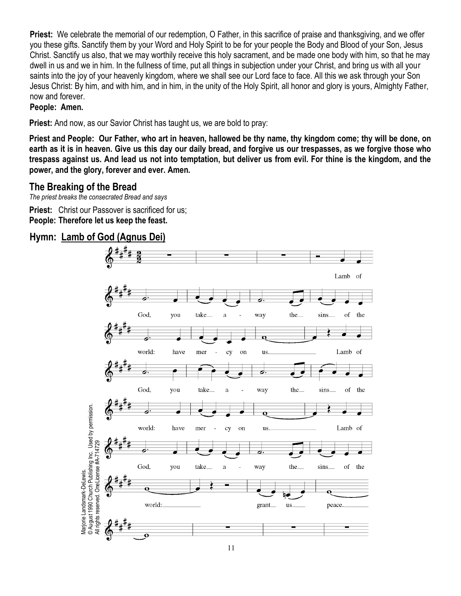**Priest:** We celebrate the memorial of our redemption, O Father, in this sacrifice of praise and thanksgiving, and we offer you these gifts. Sanctify them by your Word and Holy Spirit to be for your people the Body and Blood of your Son, Jesus Christ. Sanctify us also, that we may worthily receive this holy sacrament, and be made one body with him, so that he may dwell in us and we in him. In the fullness of time, put all things in subjection under your Christ, and bring us with all your saints into the joy of your heavenly kingdom, where we shall see our Lord face to face. All this we ask through your Son Jesus Christ: By him, and with him, and in him, in the unity of the Holy Spirit, all honor and glory is yours, Almighty Father, now and forever.

### **People: Amen.**

**Priest:** And now, as our Savior Christ has taught us, we are bold to pray:

**Priest and People: Our Father, who art in heaven, hallowed be thy name, thy kingdom come; thy will be done, on earth as it is in heaven. Give us this day our daily bread, and forgive us our trespasses, as we forgive those who trespass against us. And lead us not into temptation, but deliver us from evil. For thine is the kingdom, and the power, and the glory, forever and ever. Amen.**

## **The Breaking of the Bread**

*The priest breaks the consecrated Bread and says*

**Priest:** Christ our Passover is sacrificed for us; **People: Therefore let us keep the feast.** 

## **Hymn: Lamb of God (Agnus Dei)**

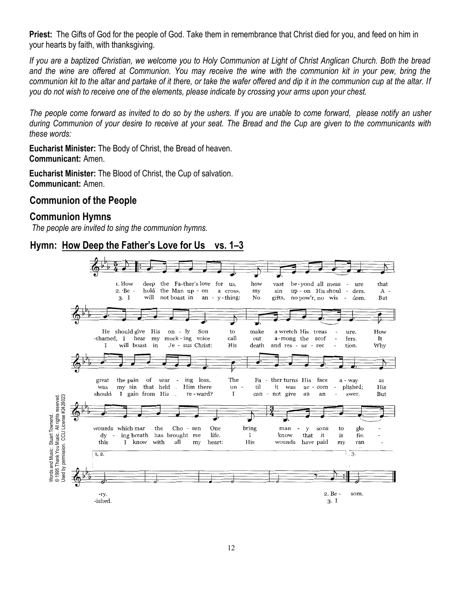**Priest:** The Gifts of God for the people of God. Take them in remembrance that Christ died for you, and feed on him in your hearts by faith, with thanksgiving.

If you are a baptized Christian, we welcome you to Holy Communion at Light of Christ Anglican Church. Both the bread and the wine are offered at Communion. You may receive the wine with the communion kit in your pew, bring the *communion kit to the altar and partake of it there, or take the wafer offered and dip it in the communion cup at the altar. If you do not wish to receive one of the elements, please indicate by crossing your arms upon your chest.* 

The people come forward as invited to do so by the ushers. If you are unable to come forward, please notify an usher during Communion of your desire to receive at your seat. The Bread and the Cup are given to the communicants with *these words:* 

**Eucharist Minister:** The Body of Christ, the Bread of heaven. **Communicant:** Amen.

**Eucharist Minister:** The Blood of Christ, the Cup of salvation. **Communicant:** Amen.

## **Communion of the People**

## **Communion Hymns**

*The people are invited to sing the communion hymns.* 

# **Hymn: How Deep the Father's Love for Us vs. 1–3**

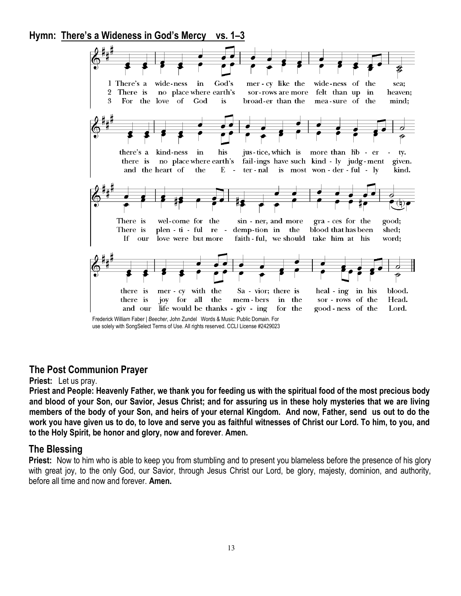## **Hymn: There's a Wideness in God's Mercy vs. 1–3**



use solely with SongSelect Terms of Use. All rights reserved. CCLI License #2429023

## **The Post Communion Prayer**

### **Priest:** Let us pray.

**Priest and People: Heavenly Father, we thank you for feeding us with the spiritual food of the most precious body and blood of your Son, our Savior, Jesus Christ; and for assuring us in these holy mysteries that we are living members of the body of your Son, and heirs of your eternal Kingdom. And now, Father, send us out to do the work you have given us to do, to love and serve you as faithful witnesses of Christ our Lord. To him, to you, and to the Holy Spirit, be honor and glory, now and forever**. **Amen.**

## **The Blessing**

**Priest:** Now to him who is able to keep you from stumbling and to present you blameless before the presence of his glory with great joy, to the only God, our Savior, through Jesus Christ our Lord, be glory, majesty, dominion, and authority, before all time and now and forever. **Amen.**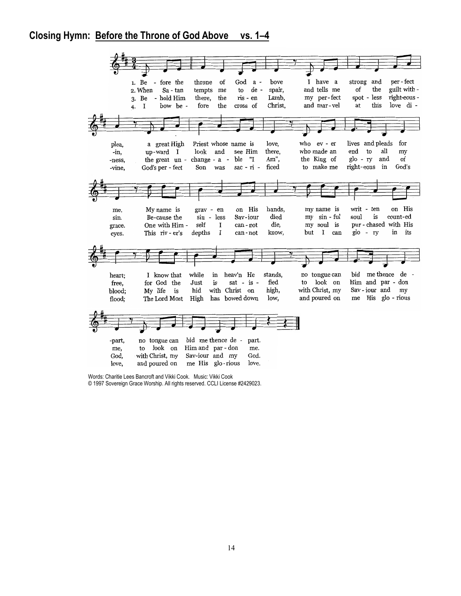## **Closing Hymn: Before the Throne of God Above vs. 1–4**



Words: Charitie Lees Bancroft and Vikki Cook. Music: Vikki Cook © 1997 Sovereign Grace Worship. All rights reserved. CCLI License #2429023.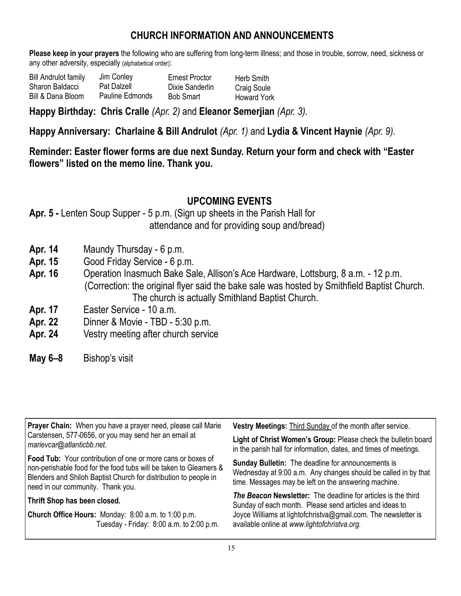# **CHURCH INFORMATION AND ANNOUNCEMENTS**

**Please keep in your prayers** the following who are suffering from long-term illness; and those in trouble, sorrow, need, sickness or any other adversity, especially (alphabetical order):

| <b>Bill Andrulot family</b> | Jim Conley      | Ernest Proctor   | Herb Smith         |
|-----------------------------|-----------------|------------------|--------------------|
| Sharon Baldacci             | Pat Dalzell     | Dixie Sanderlin  | <b>Craig Soule</b> |
| Bill & Dana Bloom           | Pauline Edmonds | <b>Bob Smart</b> | <b>Howard York</b> |

**Happy Birthday: Chris Cralle** *(Apr. 2)* and **Eleanor Semerjian** *(Apr. 3).*

**Happy Anniversary: Charlaine & Bill Andrulot** *(Apr. 1)* and **Lydia & Vincent Haynie** *(Apr. 9).*

**Reminder: Easter flower forms are due next Sunday. Return your form and check with "Easter flowers" listed on the memo line. Thank you.**

# **UPCOMING EVENTS**

**Apr. 5 -** Lenten Soup Supper - 5 p.m. (Sign up sheets in the Parish Hall for attendance and for providing soup and/bread)

- **Apr. 14** Maundy Thursday 6 p.m.
- **Apr. 15** Good Friday Service 6 p.m.
- **Apr. 16** Operation Inasmuch Bake Sale, Allison's Ace Hardware, Lottsburg, 8 a.m. 12 p.m. (Correction: the original flyer said the bake sale was hosted by Smithfield Baptist Church. The church is actually Smithland Baptist Church.
- **Apr. 17** Easter Service 10 a.m.
- **Apr. 22** Dinner & Movie TBD 5:30 p.m.
- **Apr. 24** Vestry meeting after church service
- **May 6–8** Bishop's visit

**Prayer Chain:** When you have a prayer need, please call Marie Carstensen, 577-0656, or you may send her an email at *marievcar@atlanticbb.net.* 

**Food Tub:** Your contribution of one or more cans or boxes of non-perishable food for the food tubs will be taken to Gleamers & Blenders and Shiloh Baptist Church for distribution to people in need in our community. Thank you.

### **Thrift Shop has been closed.**

**Church Office Hours:** Monday: 8:00 a.m. to 1:00 p.m. Tuesday - Friday: 8:00 a.m. to 2:00 p.m. **Vestry Meetings:** Third Sunday of the month after service.

**Light of Christ Women's Group:** Please check the bulletin board in the parish hall for information, dates, and times of meetings.

**Sunday Bulletin:** The deadline for announcements is Wednesday at 9:00 a.m. Any changes should be called in by that time. Messages may be left on the answering machine.

*The Beacon* **Newsletter:** The deadline for articles is the third Sunday of each month. Please send articles and ideas to Joyce Williams at lightofchristva@gmail.com*.* The newsletter is available online at *www.lightofchristva.org.*